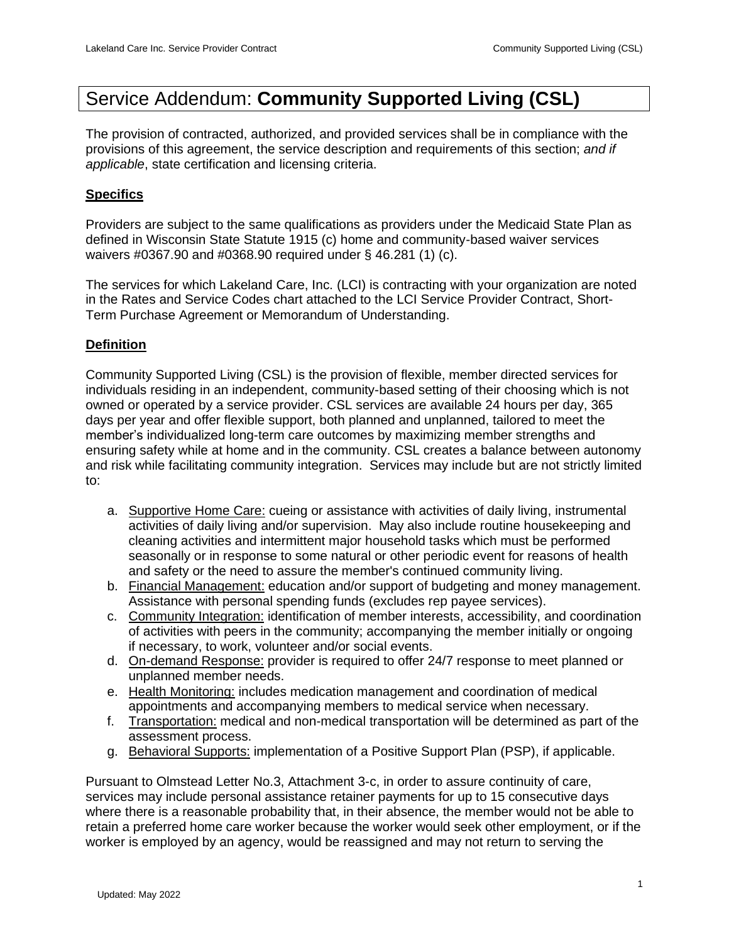# Service Addendum: **Community Supported Living (CSL)**

The provision of contracted, authorized, and provided services shall be in compliance with the provisions of this agreement, the service description and requirements of this section; *and if applicable*, state certification and licensing criteria.

# **Specifics**

Providers are subject to the same qualifications as providers under the Medicaid State Plan as defined in Wisconsin State Statute 1915 (c) home and community-based waiver services waivers #0367.90 and #0368.90 required under § 46.281 (1) (c).

The services for which Lakeland Care, Inc. (LCI) is contracting with your organization are noted in the Rates and Service Codes chart attached to the LCI Service Provider Contract, Short-Term Purchase Agreement or Memorandum of Understanding.

# **Definition**

Community Supported Living (CSL) is the provision of flexible, member directed services for individuals residing in an independent, community-based setting of their choosing which is not owned or operated by a service provider. CSL services are available 24 hours per day, 365 days per year and offer flexible support, both planned and unplanned, tailored to meet the member's individualized long-term care outcomes by maximizing member strengths and ensuring safety while at home and in the community. CSL creates a balance between autonomy and risk while facilitating community integration. Services may include but are not strictly limited to:

- a. Supportive Home Care: cueing or assistance with activities of daily living, instrumental activities of daily living and/or supervision. May also include routine housekeeping and cleaning activities and intermittent major household tasks which must be performed seasonally or in response to some natural or other periodic event for reasons of health and safety or the need to assure the member's continued community living.
- b. Financial Management: education and/or support of budgeting and money management. Assistance with personal spending funds (excludes rep payee services).
- c. Community Integration: identification of member interests, accessibility, and coordination of activities with peers in the community; accompanying the member initially or ongoing if necessary, to work, volunteer and/or social events.
- d. On-demand Response: provider is required to offer 24/7 response to meet planned or unplanned member needs.
- e. Health Monitoring: includes medication management and coordination of medical appointments and accompanying members to medical service when necessary.
- f. Transportation: medical and non-medical transportation will be determined as part of the assessment process.
- g. Behavioral Supports: implementation of a Positive Support Plan (PSP), if applicable.

Pursuant to Olmstead Letter No.3, Attachment 3-c, in order to assure continuity of care, services may include personal assistance retainer payments for up to 15 consecutive days where there is a reasonable probability that, in their absence, the member would not be able to retain a preferred home care worker because the worker would seek other employment, or if the worker is employed by an agency, would be reassigned and may not return to serving the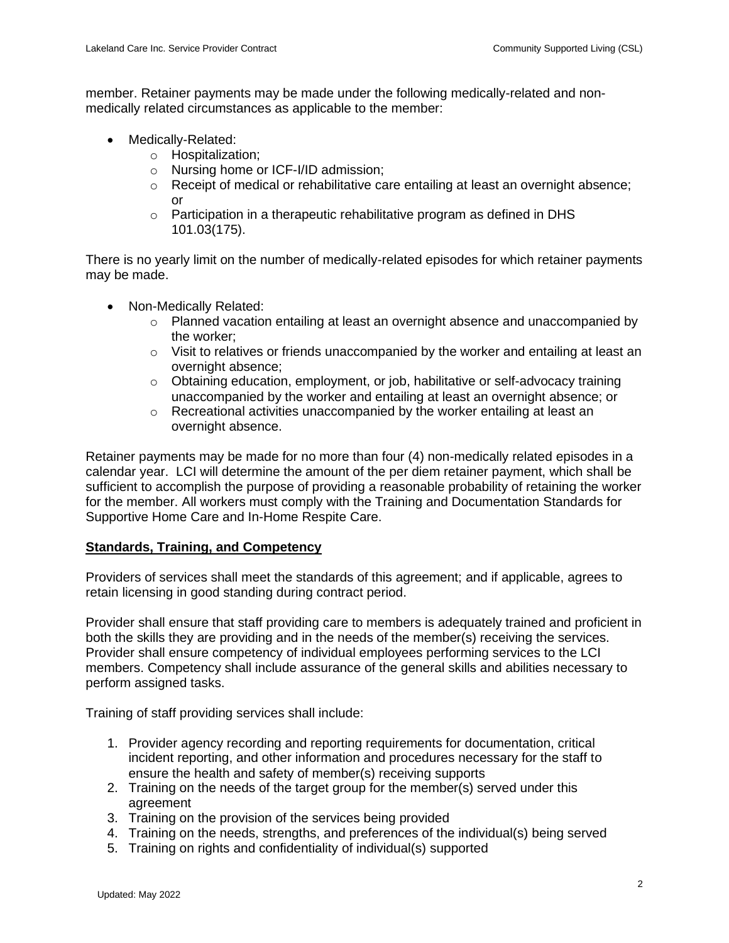member. Retainer payments may be made under the following medically-related and nonmedically related circumstances as applicable to the member:

- Medically-Related:
	- o Hospitalization;
	- o Nursing home or ICF-I/ID admission;
	- $\circ$  Receipt of medical or rehabilitative care entailing at least an overnight absence; or
	- o Participation in a therapeutic rehabilitative program as defined in DHS 101.03(175).

There is no yearly limit on the number of medically-related episodes for which retainer payments may be made.

- Non-Medically Related:
	- $\circ$  Planned vacation entailing at least an overnight absence and unaccompanied by the worker;
	- $\circ$  Visit to relatives or friends unaccompanied by the worker and entailing at least an overnight absence;
	- $\circ$  Obtaining education, employment, or job, habilitative or self-advocacy training unaccompanied by the worker and entailing at least an overnight absence; or
	- o Recreational activities unaccompanied by the worker entailing at least an overnight absence.

Retainer payments may be made for no more than four (4) non-medically related episodes in a calendar year. LCI will determine the amount of the per diem retainer payment, which shall be sufficient to accomplish the purpose of providing a reasonable probability of retaining the worker for the member. All workers must comply with the Training and Documentation Standards for Supportive Home Care and In-Home Respite Care.

#### **Standards, Training, and Competency**

Providers of services shall meet the standards of this agreement; and if applicable, agrees to retain licensing in good standing during contract period.

Provider shall ensure that staff providing care to members is adequately trained and proficient in both the skills they are providing and in the needs of the member(s) receiving the services. Provider shall ensure competency of individual employees performing services to the LCI members. Competency shall include assurance of the general skills and abilities necessary to perform assigned tasks.

Training of staff providing services shall include:

- 1. Provider agency recording and reporting requirements for documentation, critical incident reporting, and other information and procedures necessary for the staff to ensure the health and safety of member(s) receiving supports
- 2. Training on the needs of the target group for the member(s) served under this agreement
- 3. Training on the provision of the services being provided
- 4. Training on the needs, strengths, and preferences of the individual(s) being served
- 5. Training on rights and confidentiality of individual(s) supported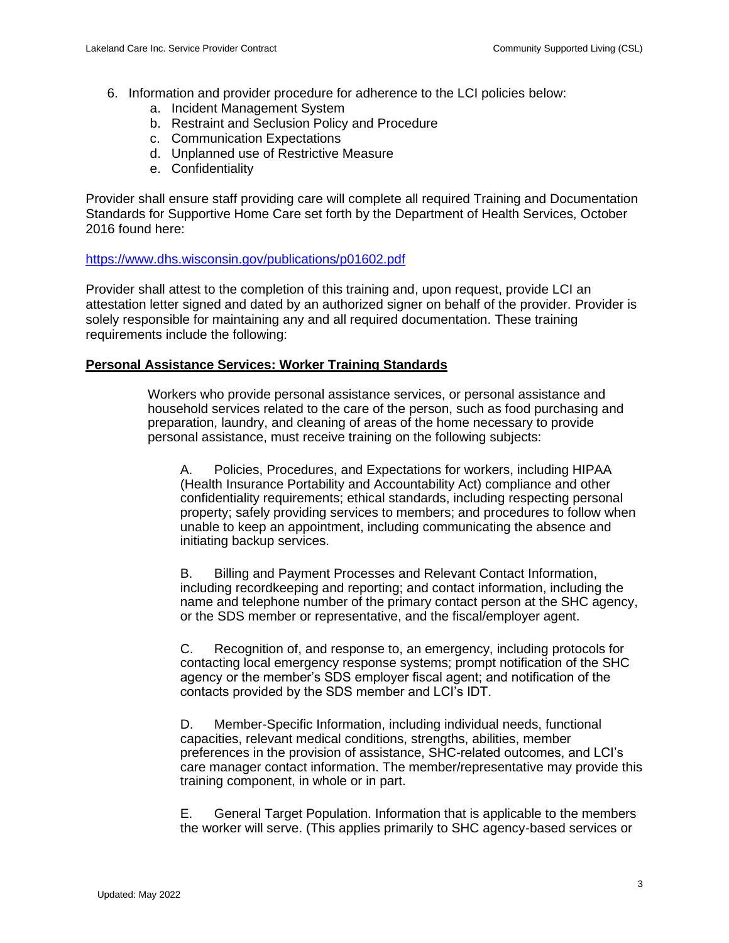- 6. Information and provider procedure for adherence to the LCI policies below:
	- a. Incident Management System
	- b. Restraint and Seclusion Policy and Procedure
	- c. Communication Expectations
	- d. Unplanned use of Restrictive Measure
	- e. Confidentiality

Provider shall ensure staff providing care will complete all required Training and Documentation Standards for Supportive Home Care set forth by the Department of Health Services, October 2016 found here:

#### <https://www.dhs.wisconsin.gov/publications/p01602.pdf>

Provider shall attest to the completion of this training and, upon request, provide LCI an attestation letter signed and dated by an authorized signer on behalf of the provider. Provider is solely responsible for maintaining any and all required documentation. These training requirements include the following:

## **Personal Assistance Services: Worker Training Standards**

Workers who provide personal assistance services, or personal assistance and household services related to the care of the person, such as food purchasing and preparation, laundry, and cleaning of areas of the home necessary to provide personal assistance, must receive training on the following subjects:

A. Policies, Procedures, and Expectations for workers, including HIPAA (Health Insurance Portability and Accountability Act) compliance and other confidentiality requirements; ethical standards, including respecting personal property; safely providing services to members; and procedures to follow when unable to keep an appointment, including communicating the absence and initiating backup services.

B. Billing and Payment Processes and Relevant Contact Information, including recordkeeping and reporting; and contact information, including the name and telephone number of the primary contact person at the SHC agency, or the SDS member or representative, and the fiscal/employer agent.

C. Recognition of, and response to, an emergency, including protocols for contacting local emergency response systems; prompt notification of the SHC agency or the member's SDS employer fiscal agent; and notification of the contacts provided by the SDS member and LCI's IDT.

D. Member-Specific Information, including individual needs, functional capacities, relevant medical conditions, strengths, abilities, member preferences in the provision of assistance, SHC-related outcomes, and LCI's care manager contact information. The member/representative may provide this training component, in whole or in part.

E. General Target Population. Information that is applicable to the members the worker will serve. (This applies primarily to SHC agency-based services or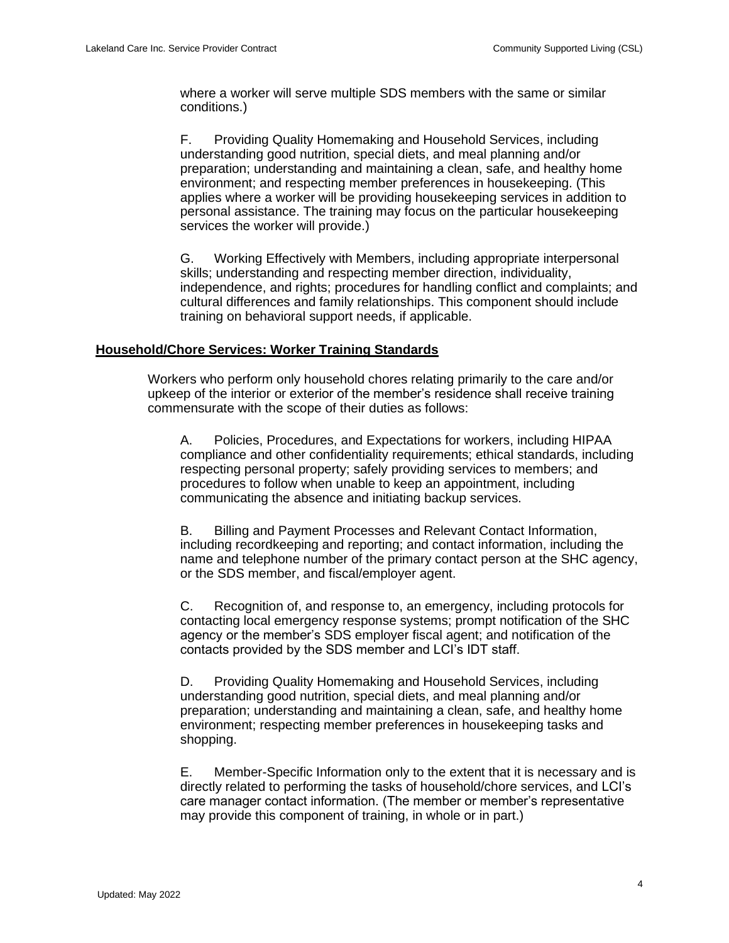where a worker will serve multiple SDS members with the same or similar conditions.)

F. Providing Quality Homemaking and Household Services, including understanding good nutrition, special diets, and meal planning and/or preparation; understanding and maintaining a clean, safe, and healthy home environment; and respecting member preferences in housekeeping. (This applies where a worker will be providing housekeeping services in addition to personal assistance. The training may focus on the particular housekeeping services the worker will provide.)

G. Working Effectively with Members, including appropriate interpersonal skills; understanding and respecting member direction, individuality, independence, and rights; procedures for handling conflict and complaints; and cultural differences and family relationships. This component should include training on behavioral support needs, if applicable.

#### **Household/Chore Services: Worker Training Standards**

Workers who perform only household chores relating primarily to the care and/or upkeep of the interior or exterior of the member's residence shall receive training commensurate with the scope of their duties as follows:

A. Policies, Procedures, and Expectations for workers, including HIPAA compliance and other confidentiality requirements; ethical standards, including respecting personal property; safely providing services to members; and procedures to follow when unable to keep an appointment, including communicating the absence and initiating backup services.

B. Billing and Payment Processes and Relevant Contact Information, including recordkeeping and reporting; and contact information, including the name and telephone number of the primary contact person at the SHC agency, or the SDS member, and fiscal/employer agent.

C. Recognition of, and response to, an emergency, including protocols for contacting local emergency response systems; prompt notification of the SHC agency or the member's SDS employer fiscal agent; and notification of the contacts provided by the SDS member and LCI's IDT staff.

D. Providing Quality Homemaking and Household Services, including understanding good nutrition, special diets, and meal planning and/or preparation; understanding and maintaining a clean, safe, and healthy home environment; respecting member preferences in housekeeping tasks and shopping.

E. Member-Specific Information only to the extent that it is necessary and is directly related to performing the tasks of household/chore services, and LCI's care manager contact information. (The member or member's representative may provide this component of training, in whole or in part.)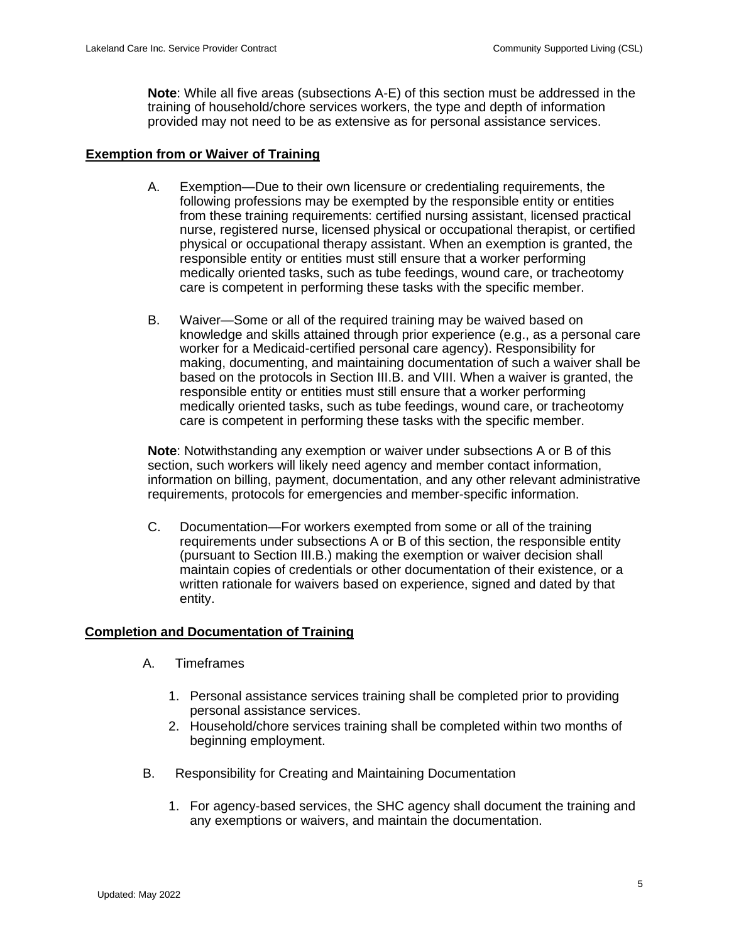**Note**: While all five areas (subsections A-E) of this section must be addressed in the training of household/chore services workers, the type and depth of information provided may not need to be as extensive as for personal assistance services.

#### **Exemption from or Waiver of Training**

- A. Exemption—Due to their own licensure or credentialing requirements, the following professions may be exempted by the responsible entity or entities from these training requirements: certified nursing assistant, licensed practical nurse, registered nurse, licensed physical or occupational therapist, or certified physical or occupational therapy assistant. When an exemption is granted, the responsible entity or entities must still ensure that a worker performing medically oriented tasks, such as tube feedings, wound care, or tracheotomy care is competent in performing these tasks with the specific member.
- B. Waiver—Some or all of the required training may be waived based on knowledge and skills attained through prior experience (e.g., as a personal care worker for a Medicaid-certified personal care agency). Responsibility for making, documenting, and maintaining documentation of such a waiver shall be based on the protocols in Section III.B. and VIII. When a waiver is granted, the responsible entity or entities must still ensure that a worker performing medically oriented tasks, such as tube feedings, wound care, or tracheotomy care is competent in performing these tasks with the specific member.

**Note**: Notwithstanding any exemption or waiver under subsections A or B of this section, such workers will likely need agency and member contact information, information on billing, payment, documentation, and any other relevant administrative requirements, protocols for emergencies and member-specific information.

C. Documentation—For workers exempted from some or all of the training requirements under subsections A or B of this section, the responsible entity (pursuant to Section III.B.) making the exemption or waiver decision shall maintain copies of credentials or other documentation of their existence, or a written rationale for waivers based on experience, signed and dated by that entity.

## **Completion and Documentation of Training**

- A. Timeframes
	- 1. Personal assistance services training shall be completed prior to providing personal assistance services.
	- 2. Household/chore services training shall be completed within two months of beginning employment.
- B. Responsibility for Creating and Maintaining Documentation
	- 1. For agency-based services, the SHC agency shall document the training and any exemptions or waivers, and maintain the documentation.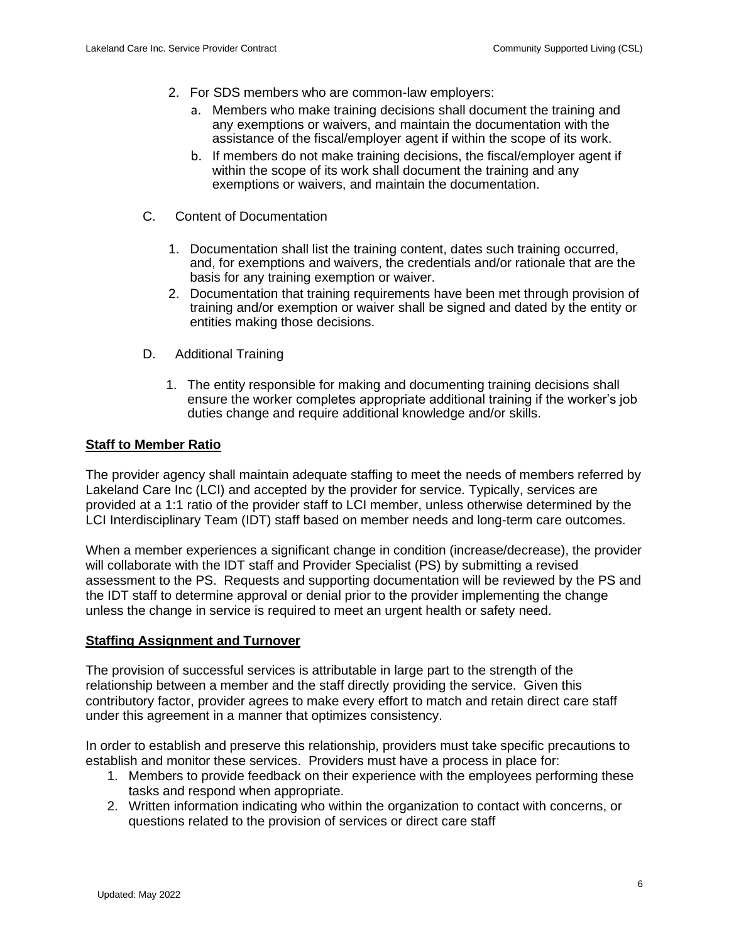- 2. For SDS members who are common-law employers:
	- a. Members who make training decisions shall document the training and any exemptions or waivers, and maintain the documentation with the assistance of the fiscal/employer agent if within the scope of its work.
	- b. If members do not make training decisions, the fiscal/employer agent if within the scope of its work shall document the training and any exemptions or waivers, and maintain the documentation.
- C. Content of Documentation
	- 1. Documentation shall list the training content, dates such training occurred, and, for exemptions and waivers, the credentials and/or rationale that are the basis for any training exemption or waiver.
	- 2. Documentation that training requirements have been met through provision of training and/or exemption or waiver shall be signed and dated by the entity or entities making those decisions.
- D. Additional Training
	- 1. The entity responsible for making and documenting training decisions shall ensure the worker completes appropriate additional training if the worker's job duties change and require additional knowledge and/or skills.

## **Staff to Member Ratio**

The provider agency shall maintain adequate staffing to meet the needs of members referred by Lakeland Care Inc (LCI) and accepted by the provider for service. Typically, services are provided at a 1:1 ratio of the provider staff to LCI member, unless otherwise determined by the LCI Interdisciplinary Team (IDT) staff based on member needs and long-term care outcomes.

When a member experiences a significant change in condition (increase/decrease), the provider will collaborate with the IDT staff and Provider Specialist (PS) by submitting a revised assessment to the PS. Requests and supporting documentation will be reviewed by the PS and the IDT staff to determine approval or denial prior to the provider implementing the change unless the change in service is required to meet an urgent health or safety need.

#### **Staffing Assignment and Turnover**

The provision of successful services is attributable in large part to the strength of the relationship between a member and the staff directly providing the service. Given this contributory factor, provider agrees to make every effort to match and retain direct care staff under this agreement in a manner that optimizes consistency.

In order to establish and preserve this relationship, providers must take specific precautions to establish and monitor these services. Providers must have a process in place for:

- 1. Members to provide feedback on their experience with the employees performing these tasks and respond when appropriate.
- 2. Written information indicating who within the organization to contact with concerns, or questions related to the provision of services or direct care staff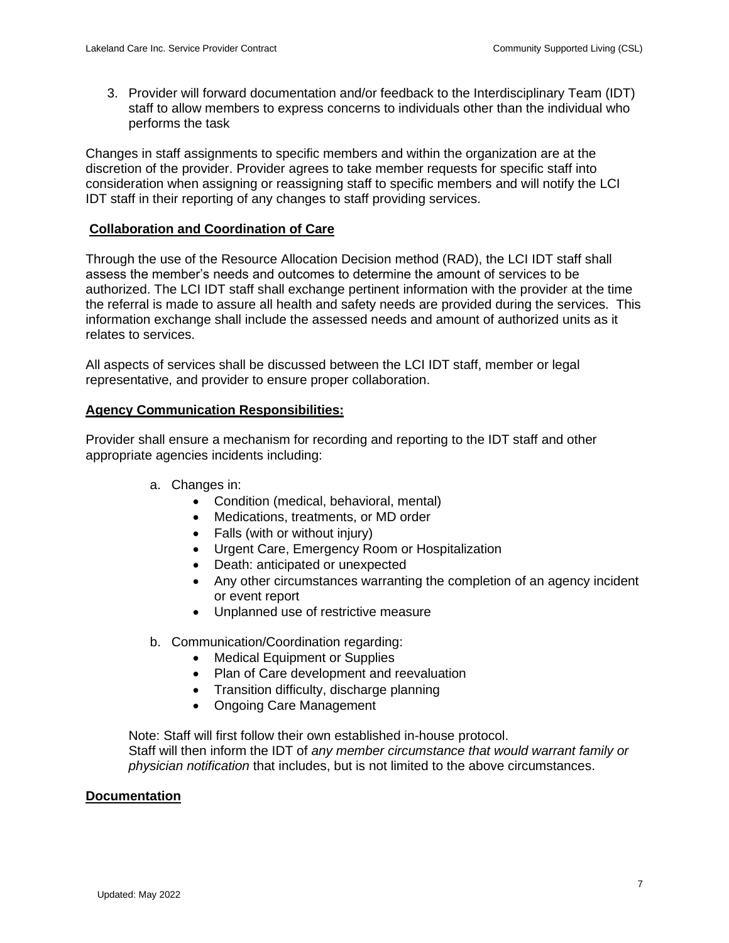3. Provider will forward documentation and/or feedback to the Interdisciplinary Team (IDT) staff to allow members to express concerns to individuals other than the individual who performs the task

Changes in staff assignments to specific members and within the organization are at the discretion of the provider. Provider agrees to take member requests for specific staff into consideration when assigning or reassigning staff to specific members and will notify the LCI IDT staff in their reporting of any changes to staff providing services.

## **Collaboration and Coordination of Care**

Through the use of the Resource Allocation Decision method (RAD), the LCI IDT staff shall assess the member's needs and outcomes to determine the amount of services to be authorized. The LCI IDT staff shall exchange pertinent information with the provider at the time the referral is made to assure all health and safety needs are provided during the services. This information exchange shall include the assessed needs and amount of authorized units as it relates to services.

All aspects of services shall be discussed between the LCI IDT staff, member or legal representative, and provider to ensure proper collaboration.

## **Agency Communication Responsibilities:**

Provider shall ensure a mechanism for recording and reporting to the IDT staff and other appropriate agencies incidents including:

- a. Changes in:
	- Condition (medical, behavioral, mental)
	- Medications, treatments, or MD order
	- Falls (with or without injury)
	- Urgent Care, Emergency Room or Hospitalization
	- Death: anticipated or unexpected
	- Any other circumstances warranting the completion of an agency incident or event report
	- Unplanned use of restrictive measure

#### b. Communication/Coordination regarding:

- Medical Equipment or Supplies
- Plan of Care development and reevaluation
- Transition difficulty, discharge planning
- Ongoing Care Management

Note: Staff will first follow their own established in-house protocol. Staff will then inform the IDT of *any member circumstance that would warrant family or physician notification* that includes, but is not limited to the above circumstances.

#### **Documentation**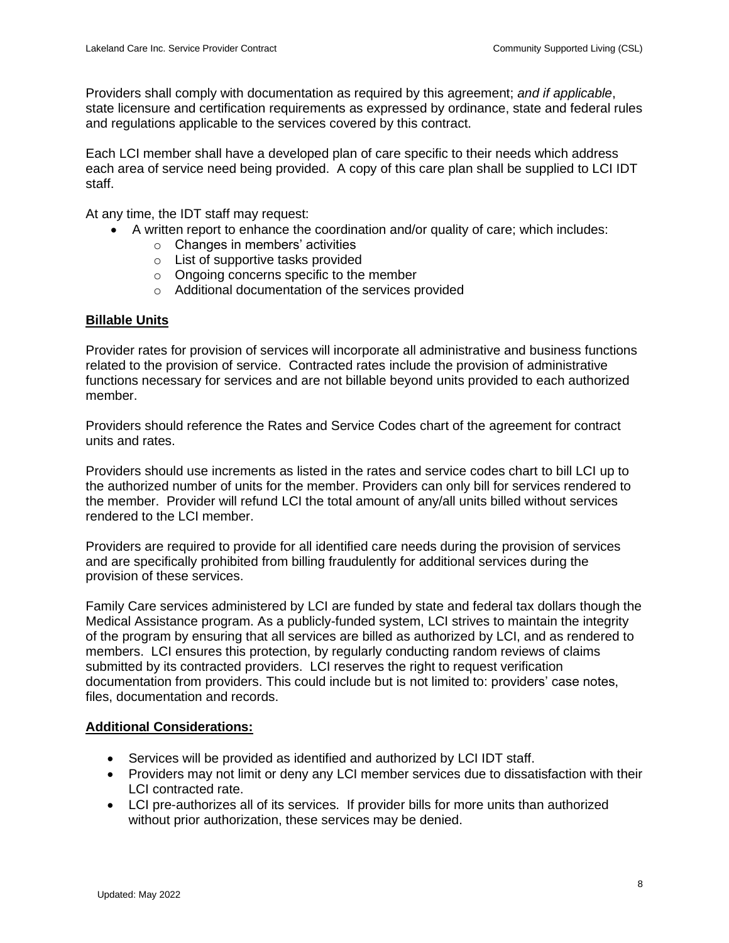Providers shall comply with documentation as required by this agreement; *and if applicable*, state licensure and certification requirements as expressed by ordinance, state and federal rules and regulations applicable to the services covered by this contract.

Each LCI member shall have a developed plan of care specific to their needs which address each area of service need being provided. A copy of this care plan shall be supplied to LCI IDT staff.

At any time, the IDT staff may request:

- A written report to enhance the coordination and/or quality of care; which includes:
	- o Changes in members' activities
	- o List of supportive tasks provided
	- o Ongoing concerns specific to the member
	- o Additional documentation of the services provided

## **Billable Units**

Provider rates for provision of services will incorporate all administrative and business functions related to the provision of service. Contracted rates include the provision of administrative functions necessary for services and are not billable beyond units provided to each authorized member.

Providers should reference the Rates and Service Codes chart of the agreement for contract units and rates.

Providers should use increments as listed in the rates and service codes chart to bill LCI up to the authorized number of units for the member. Providers can only bill for services rendered to the member. Provider will refund LCI the total amount of any/all units billed without services rendered to the LCI member.

Providers are required to provide for all identified care needs during the provision of services and are specifically prohibited from billing fraudulently for additional services during the provision of these services.

Family Care services administered by LCI are funded by state and federal tax dollars though the Medical Assistance program. As a publicly-funded system, LCI strives to maintain the integrity of the program by ensuring that all services are billed as authorized by LCI, and as rendered to members. LCI ensures this protection, by regularly conducting random reviews of claims submitted by its contracted providers. LCI reserves the right to request verification documentation from providers. This could include but is not limited to: providers' case notes, files, documentation and records.

## **Additional Considerations:**

- Services will be provided as identified and authorized by LCI IDT staff.
- Providers may not limit or deny any LCI member services due to dissatisfaction with their LCI contracted rate.
- LCI pre-authorizes all of its services. If provider bills for more units than authorized without prior authorization, these services may be denied.